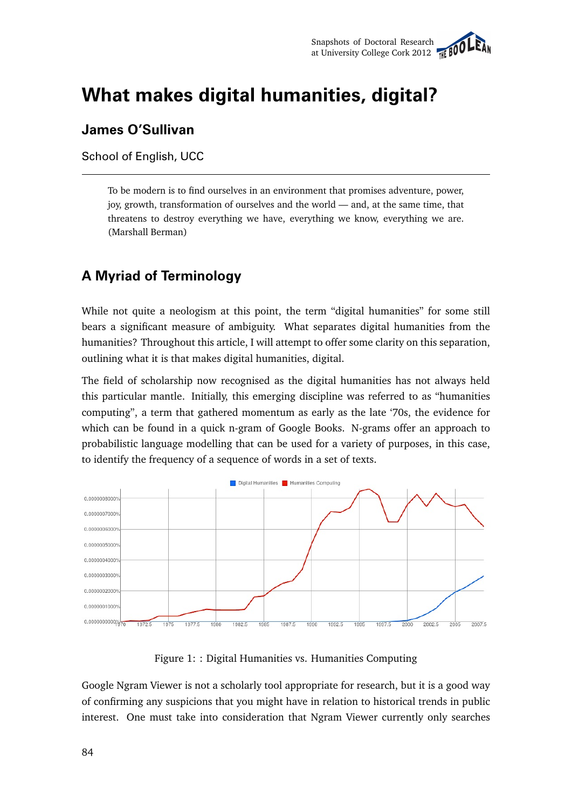

# **What makes digital humanities, digital?**

#### **James O'Sullivan**

School of English, UCC

To be modern is to find ourselves in an environment that promises adventure, power, joy, growth, transformation of ourselves and the world — and, at the same time, that threatens to destroy everything we have, everything we know, everything we are. (Marshall Berman)

## **A Myriad of Terminology**

While not quite a neologism at this point, the term "digital humanities" for some still bears a significant measure of ambiguity. What separates digital humanities from the humanities? Throughout this article, I will attempt to offer some clarity on this separation, outlining what it is that makes digital humanities, digital.

The field of scholarship now recognised as the digital humanities has not always held this particular mantle. Initially, this emerging discipline was referred to as "humanities computing", a term that gathered momentum as early as the late '70s, the evidence for which can be found in a quick n-gram of Google Books. N-grams offer an approach to probabilistic language modelling that can be used for a variety of purposes, in this case, to identify the frequency of a sequence of words in a set of texts.



Figure 1: : Digital Humanities vs. Humanities Computing

Google Ngram Viewer is not a scholarly tool appropriate for research, but it is a good way of confirming any suspicions that you might have in relation to historical trends in public interest. One must take into consideration that Ngram Viewer currently only searches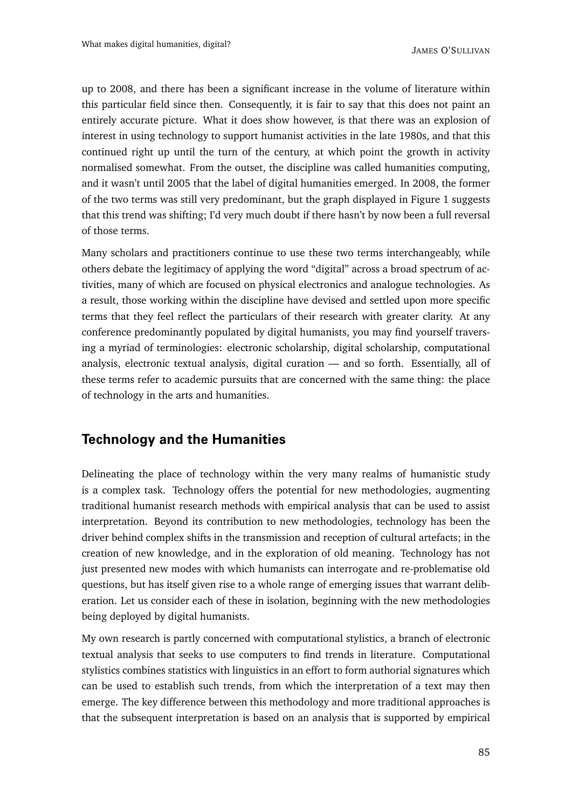JAMES O'SULLIVAN

up to 2008, and there has been a significant increase in the volume of literature within this particular field since then. Consequently, it is fair to say that this does not paint an entirely accurate picture. What it does show however, is that there was an explosion of interest in using technology to support humanist activities in the late 1980s, and that this continued right up until the turn of the century, at which point the growth in activity normalised somewhat. From the outset, the discipline was called humanities computing, and it wasn't until 2005 that the label of digital humanities emerged. In 2008, the former of the two terms was still very predominant, but the graph displayed in Figure 1 suggests that this trend was shifting; I'd very much doubt if there hasn't by now been a full reversal of those terms.

Many scholars and practitioners continue to use these two terms interchangeably, while others debate the legitimacy of applying the word "digital" across a broad spectrum of activities, many of which are focused on physical electronics and analogue technologies. As a result, those working within the discipline have devised and settled upon more specific terms that they feel reflect the particulars of their research with greater clarity. At any conference predominantly populated by digital humanists, you may find yourself traversing a myriad of terminologies: electronic scholarship, digital scholarship, computational analysis, electronic textual analysis, digital curation — and so forth. Essentially, all of these terms refer to academic pursuits that are concerned with the same thing: the place of technology in the arts and humanities.

#### **Technology and the Humanities**

Delineating the place of technology within the very many realms of humanistic study is a complex task. Technology offers the potential for new methodologies, augmenting traditional humanist research methods with empirical analysis that can be used to assist interpretation. Beyond its contribution to new methodologies, technology has been the driver behind complex shifts in the transmission and reception of cultural artefacts; in the creation of new knowledge, and in the exploration of old meaning. Technology has not just presented new modes with which humanists can interrogate and re-problematise old questions, but has itself given rise to a whole range of emerging issues that warrant deliberation. Let us consider each of these in isolation, beginning with the new methodologies being deployed by digital humanists.

My own research is partly concerned with computational stylistics, a branch of electronic textual analysis that seeks to use computers to find trends in literature. Computational stylistics combines statistics with linguistics in an effort to form authorial signatures which can be used to establish such trends, from which the interpretation of a text may then emerge. The key difference between this methodology and more traditional approaches is that the subsequent interpretation is based on an analysis that is supported by empirical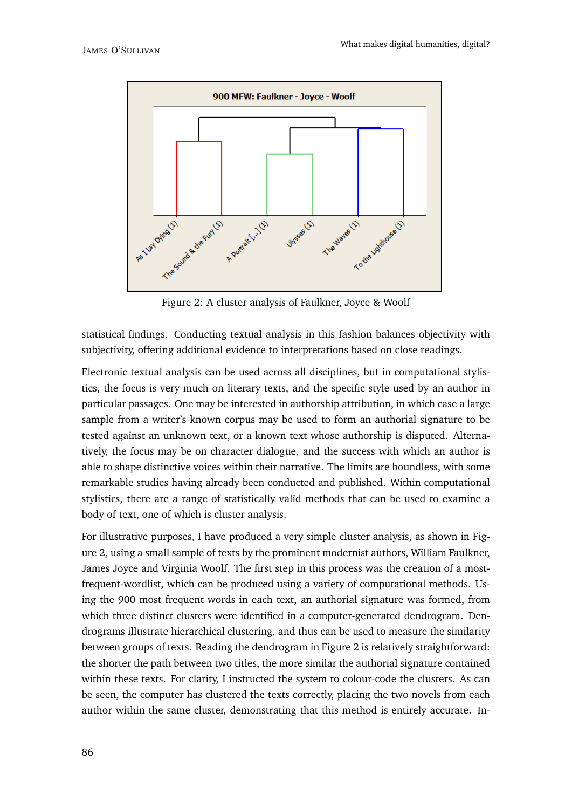

Figure 2: A cluster analysis of Faulkner, Joyce & Woolf

statistical findings. Conducting textual analysis in this fashion balances objectivity with subjectivity, offering additional evidence to interpretations based on close readings.

Electronic textual analysis can be used across all disciplines, but in computational stylistics, the focus is very much on literary texts, and the specific style used by an author in particular passages. One may be interested in authorship attribution, in which case a large sample from a writer's known corpus may be used to form an authorial signature to be tested against an unknown text, or a known text whose authorship is disputed. Alternatively, the focus may be on character dialogue, and the success with which an author is able to shape distinctive voices within their narrative. The limits are boundless, with some remarkable studies having already been conducted and published. Within computational stylistics, there are a range of statistically valid methods that can be used to examine a body of text, one of which is cluster analysis.

For illustrative purposes, I have produced a very simple cluster analysis, as shown in Figure 2, using a small sample of texts by the prominent modernist authors, William Faulkner, James Joyce and Virginia Woolf. The first step in this process was the creation of a mostfrequent-wordlist, which can be produced using a variety of computational methods. Using the 900 most frequent words in each text, an authorial signature was formed, from which three distinct clusters were identified in a computer-generated dendrogram. Dendrograms illustrate hierarchical clustering, and thus can be used to measure the similarity between groups of texts. Reading the dendrogram in Figure 2 is relatively straightforward: the shorter the path between two titles, the more similar the authorial signature contained within these texts. For clarity, I instructed the system to colour-code the clusters. As can be seen, the computer has clustered the texts correctly, placing the two novels from each author within the same cluster, demonstrating that this method is entirely accurate. In-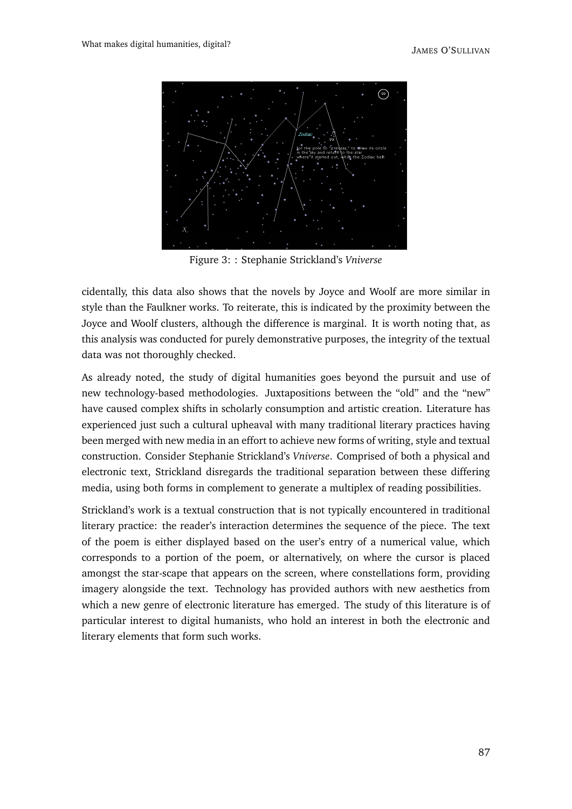

Figure 3: : Stephanie Strickland's *Vniverse*

cidentally, this data also shows that the novels by Joyce and Woolf are more similar in style than the Faulkner works. To reiterate, this is indicated by the proximity between the Joyce and Woolf clusters, although the difference is marginal. It is worth noting that, as this analysis was conducted for purely demonstrative purposes, the integrity of the textual data was not thoroughly checked.

As already noted, the study of digital humanities goes beyond the pursuit and use of new technology-based methodologies. Juxtapositions between the "old" and the "new" have caused complex shifts in scholarly consumption and artistic creation. Literature has experienced just such a cultural upheaval with many traditional literary practices having been merged with new media in an effort to achieve new forms of writing, style and textual construction. Consider Stephanie Strickland's *Vniverse*. Comprised of both a physical and electronic text, Strickland disregards the traditional separation between these differing media, using both forms in complement to generate a multiplex of reading possibilities.

Strickland's work is a textual construction that is not typically encountered in traditional literary practice: the reader's interaction determines the sequence of the piece. The text of the poem is either displayed based on the user's entry of a numerical value, which corresponds to a portion of the poem, or alternatively, on where the cursor is placed amongst the star-scape that appears on the screen, where constellations form, providing imagery alongside the text. Technology has provided authors with new aesthetics from which a new genre of electronic literature has emerged. The study of this literature is of particular interest to digital humanists, who hold an interest in both the electronic and literary elements that form such works.